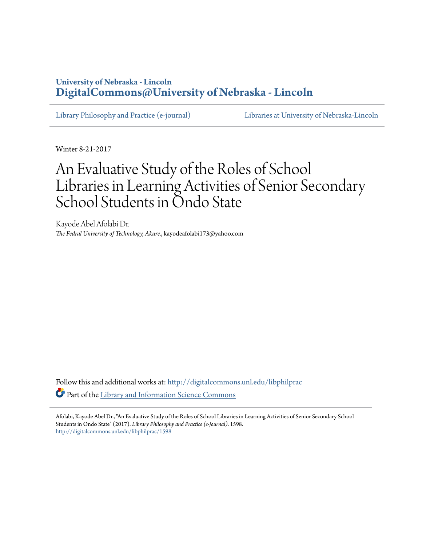## **University of Nebraska - Lincoln [DigitalCommons@University of Nebraska - Lincoln](http://digitalcommons.unl.edu?utm_source=digitalcommons.unl.edu%2Flibphilprac%2F1598&utm_medium=PDF&utm_campaign=PDFCoverPages)**

[Library Philosophy and Practice \(e-journal\)](http://digitalcommons.unl.edu/libphilprac?utm_source=digitalcommons.unl.edu%2Flibphilprac%2F1598&utm_medium=PDF&utm_campaign=PDFCoverPages) [Libraries at University of Nebraska-Lincoln](http://digitalcommons.unl.edu/libraries?utm_source=digitalcommons.unl.edu%2Flibphilprac%2F1598&utm_medium=PDF&utm_campaign=PDFCoverPages)

Winter 8-21-2017

# An Evaluative Study of the Roles of School Libraries in Learning Activities of Senior Secondary School Students in Ondo State

Kayode Abel Afolabi Dr. *The Fedral University of Technology, Akure.*, kayodeafolabi173@yahoo.com

Follow this and additional works at: [http://digitalcommons.unl.edu/libphilprac](http://digitalcommons.unl.edu/libphilprac?utm_source=digitalcommons.unl.edu%2Flibphilprac%2F1598&utm_medium=PDF&utm_campaign=PDFCoverPages) Part of the [Library and Information Science Commons](http://network.bepress.com/hgg/discipline/1018?utm_source=digitalcommons.unl.edu%2Flibphilprac%2F1598&utm_medium=PDF&utm_campaign=PDFCoverPages)

Afolabi, Kayode Abel Dr., "An Evaluative Study of the Roles of School Libraries in Learning Activities of Senior Secondary School Students in Ondo State" (2017). *Library Philosophy and Practice (e-journal)*. 1598. [http://digitalcommons.unl.edu/libphilprac/1598](http://digitalcommons.unl.edu/libphilprac/1598?utm_source=digitalcommons.unl.edu%2Flibphilprac%2F1598&utm_medium=PDF&utm_campaign=PDFCoverPages)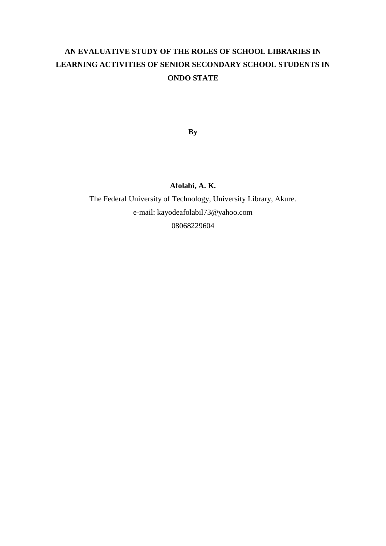# **AN EVALUATIVE STUDY OF THE ROLES OF SCHOOL LIBRARIES IN LEARNING ACTIVITIES OF SENIOR SECONDARY SCHOOL STUDENTS IN ONDO STATE**

**By**

### **Afolabi, A. K.**

The Federal University of Technology, University Library, Akure. e-mail: kayodeafolabil73@yahoo.com 08068229604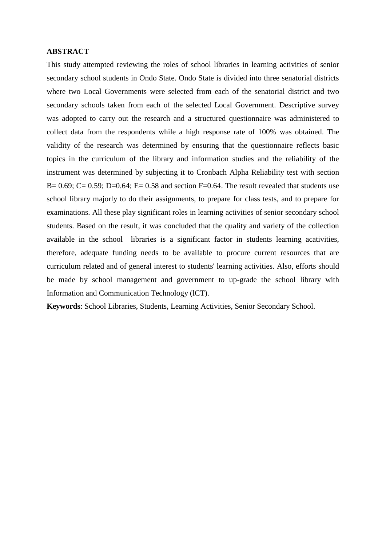#### **ABSTRACT**

This study attempted reviewing the roles of school libraries in learning activities of senior secondary school students in Ondo State. Ondo State is divided into three senatorial districts where two Local Governments were selected from each of the senatorial district and two secondary schools taken from each of the selected Local Government. Descriptive survey was adopted to carry out the research and a structured questionnaire was administered to collect data from the respondents while a high response rate of 100% was obtained. The validity of the research was determined by ensuring that the questionnaire reflects basic topics in the curriculum of the library and information studies and the reliability of the instrument was determined by subjecting it to Cronbach Alpha Reliability test with section B= 0.69; C= 0.59; D=0.64; E= 0.58 and section F=0.64. The result revealed that students use school library majorly to do their assignments, to prepare for class tests, and to prepare for examinations. All these play significant roles in learning activities of senior secondary school students. Based on the result, it was concluded that the quality and variety of the collection available in the school libraries is a significant factor in students learning acativities, therefore, adequate funding needs to be available to procure current resources that are curriculum related and of general interest to students' learning activities. Also, efforts should be made by school management and government to up-grade the school library with Information and Communication Technology (lCT).

**Keywords**: School Libraries, Students, Learning Activities, Senior Secondary School.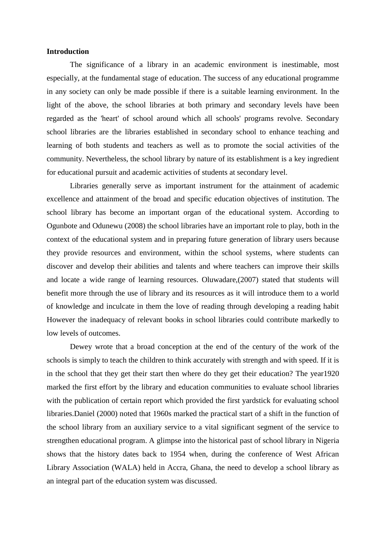#### **Introduction**

The significance of a library in an academic environment is inestimable, most especially, at the fundamental stage of education. The success of any educational programme in any society can only be made possible if there is a suitable learning environment. In the light of the above, the school libraries at both primary and secondary levels have been regarded as the 'heart' of school around which all schools' programs revolve. Secondary school libraries are the libraries established in secondary school to enhance teaching and learning of both students and teachers as well as to promote the social activities of the community. Nevertheless, the school library by nature of its establishment is a key ingredient for educational pursuit and academic activities of students at secondary level.

Libraries generally serve as important instrument for the attainment of academic excellence and attainment of the broad and specific education objectives of institution. The school library has become an important organ of the educational system. According to Ogunbote and Odunewu (2008) the school libraries have an important role to play, both in the context of the educational system and in preparing future generation of library users because they provide resources and environment, within the school systems, where students can discover and develop their abilities and talents and where teachers can improve their skills and locate a wide range of learning resources. Oluwadare,(2007) stated that students will benefit more through the use of library and its resources as it will introduce them to a world of knowledge and inculcate in them the love of reading through developing a reading habit However the inadequacy of relevant books in school libraries could contribute markedly to low levels of outcomes.

Dewey wrote that a broad conception at the end of the century of the work of the schools is simply to teach the children to think accurately with strength and with speed. If it is in the school that they get their start then where do they get their education? The year1920 marked the first effort by the library and education communities to evaluate school libraries with the publication of certain report which provided the first yardstick for evaluating school libraries.Daniel (2000) noted that 1960s marked the practical start of a shift in the function of the school library from an auxiliary service to a vital significant segment of the service to strengthen educational program. A glimpse into the historical past of school library in Nigeria shows that the history dates back to 1954 when, during the conference of West African Library Association (WALA) held in Accra, Ghana, the need to develop a school library as an integral part of the education system was discussed.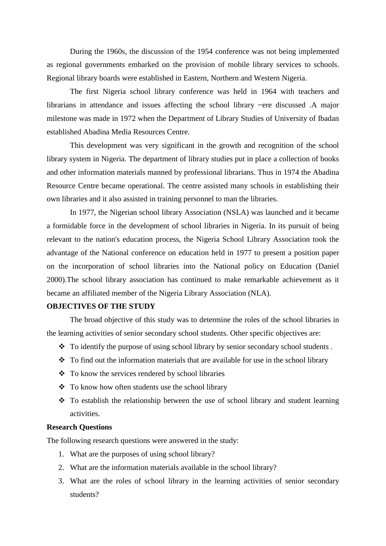During the 1960s, the discussion of the 1954 conference was not being implemented as regional governments embarked on the provision of mobile library services to schools. Regional library boards were established in Eastern, Northern and Western Nigeria.

The first Nigeria school library conference was held in 1964 with teachers and librarians in attendance and issues affecting the school library ~ere discussed .A major milestone was made in 1972 when the Department of Library Studies of University of Ibadan established Abadina Media Resources Centre.

This development was very significant in the growth and recognition of the school library system in Nigeria. The department of library studies put in place a collection of books and other information materials manned by professional librarians. Thus in 1974 the Abadina Resource Centre became operational. The centre assisted many schools in establishing their own libraries and it also assisted in training personnel to man the libraries.

In 1977, the Nigerian school library Association (NSLA) was launched and it became a formidable force in the development of school libraries in Nigeria. In its pursuit of being relevant to the nation's education process, the Nigeria School Library Association took the advantage of the National conference on education held in 1977 to present a position paper on the incorporation of school libraries into the National policy on Education (Daniel 2000).The school library association has continued to make remarkable achievement as it became an affiliated member of the Nigeria Library Association (NLA).

#### **OBJECTIVES OF THE STUDY**

The broad objective of this study was to determine the roles of the school libraries in the learning activities of senior secondary school students. Other specific objectives are:

- ❖ To identify the purpose of using school library by senior secondary school students .
- ❖ To find out the information materials that are available for use in the school library
- ❖ To know the services rendered by school libraries
- ❖ To know how often students use the school library
- ❖ To establish the relationship between the use of school library and student learning activities.

#### **Research Questions**

The following research questions were answered in the study:

- 1. What are the purposes of using school library?
- 2. What are the information materials available in the school library?
- 3. What are the roles of school library in the learning activities of senior secondary students?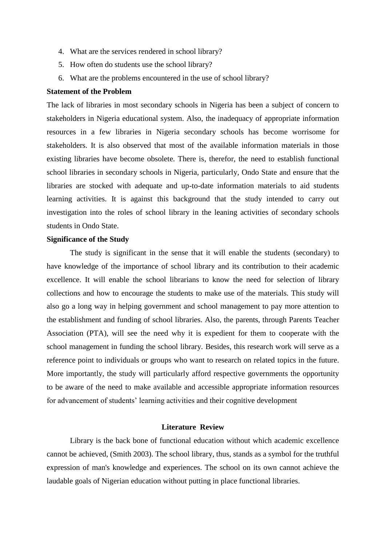- 4. What are the services rendered in school library?
- 5. How often do students use the school library?
- 6. What are the problems encountered in the use of school library?

#### **Statement of the Problem**

The lack of libraries in most secondary schools in Nigeria has been a subject of concern to stakeholders in Nigeria educational system. Also, the inadequacy of appropriate information resources in a few libraries in Nigeria secondary schools has become worrisome for stakeholders. It is also observed that most of the available information materials in those existing libraries have become obsolete. There is, therefor, the need to establish functional school libraries in secondary schools in Nigeria, particularly, Ondo State and ensure that the libraries are stocked with adequate and up-to-date information materials to aid students learning activities. It is against this background that the study intended to carry out investigation into the roles of school library in the leaning activities of secondary schools students in Ondo State.

#### **Significance of the Study**

The study is significant in the sense that it will enable the students (secondary) to have knowledge of the importance of school library and its contribution to their academic excellence. It will enable the school librarians to know the need for selection of library collections and how to encourage the students to make use of the materials. This study will also go a long way in helping government and school management to pay more attention to the establishment and funding of school libraries. Also, the parents, through Parents Teacher Association (PTA), will see the need why it is expedient for them to cooperate with the school management in funding the school library. Besides, this research work will serve as a reference point to individuals or groups who want to research on related topics in the future. More importantly, the study will particularly afford respective governments the opportunity to be aware of the need to make available and accessible appropriate information resources for advancement of students' learning activities and their cognitive development

#### **Literature Review**

Library is the back bone of functional education without which academic excellence cannot be achieved, (Smith 2003). The school library, thus, stands as a symbol for the truthful expression of man's knowledge and experiences. The school on its own cannot achieve the laudable goals of Nigerian education without putting in place functional libraries.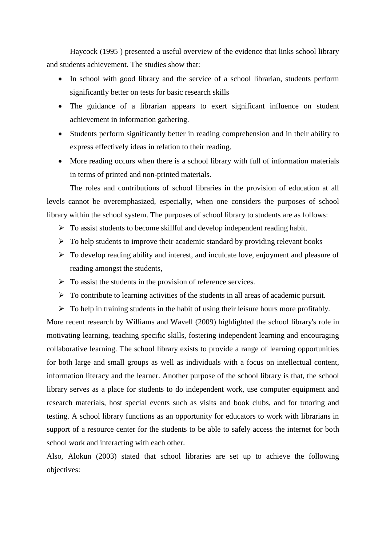Haycock (1995 ) presented a useful overview of the evidence that links school library and students achievement. The studies show that:

- In school with good library and the service of a school librarian, students perform significantly better on tests for basic research skills
- The guidance of a librarian appears to exert significant influence on student achievement in information gathering.
- Students perform significantly better in reading comprehension and in their ability to express effectively ideas in relation to their reading.
- More reading occurs when there is a school library with full of information materials in terms of printed and non-printed materials.

The roles and contributions of school libraries in the provision of education at all levels cannot be overemphasized, especially, when one considers the purposes of school library within the school system. The purposes of school library to students are as follows:

- $\triangleright$  To assist students to become skillful and develop independent reading habit.
- $\triangleright$  To help students to improve their academic standard by providing relevant books
- ➢ To develop reading ability and interest, and inculcate love, enjoyment and pleasure of reading amongst the students,
- $\triangleright$  To assist the students in the provision of reference services.
- $\triangleright$  To contribute to learning activities of the students in all areas of academic pursuit.
- $\triangleright$  To help in training students in the habit of using their leisure hours more profitably.

More recent research by Williams and Wavell (2009) highlighted the school library's role in motivating learning, teaching specific skills, fostering independent learning and encouraging collaborative learning. The school library exists to provide a range of learning opportunities for both large and small groups as well as individuals with a focus on intellectual content, information literacy and the learner. Another purpose of the school library is that, the school library serves as a place for students to do independent work, use computer equipment and research materials, host special events such as visits and book clubs, and for tutoring and testing. A school library functions as an opportunity for educators to work with librarians in support of a resource center for the students to be able to safely access the internet for both school work and interacting with each other.

Also, Alokun (2003) stated that school libraries are set up to achieve the following objectives: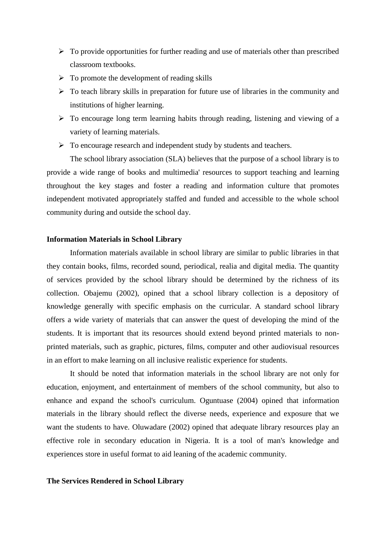- $\triangleright$  To provide opportunities for further reading and use of materials other than prescribed classroom textbooks.
- $\triangleright$  To promote the development of reading skills
- ➢ To teach library skills in preparation for future use of libraries in the community and institutions of higher learning.
- ➢ To encourage long term learning habits through reading, listening and viewing of a variety of learning materials.
- ➢ To encourage research and independent study by students and teachers.

The school library association (SLA) believes that the purpose of a school library is to provide a wide range of books and multimedia' resources to support teaching and learning throughout the key stages and foster a reading and information culture that promotes independent motivated appropriately staffed and funded and accessible to the whole school community during and outside the school day.

#### **Information Materials in School Library**

Information materials available in school library are similar to public libraries in that they contain books, films, recorded sound, periodical, realia and digital media. The quantity of services provided by the school library should be determined by the richness of its collection. Obajemu (2002), opined that a school library collection is a depository of knowledge generally with specific emphasis on the curricular. A standard school library offers a wide variety of materials that can answer the quest of developing the mind of the students. It is important that its resources should extend beyond printed materials to nonprinted materials, such as graphic, pictures, films, computer and other audiovisual resources in an effort to make learning on all inclusive realistic experience for students.

It should be noted that information materials in the school library are not only for education, enjoyment, and entertainment of members of the school community, but also to enhance and expand the school's curriculum. Oguntuase (2004) opined that information materials in the library should reflect the diverse needs, experience and exposure that we want the students to have. Oluwadare (2002) opined that adequate library resources play an effective role in secondary education in Nigeria. It is a tool of man's knowledge and experiences store in useful format to aid leaning of the academic community.

#### **The Services Rendered in School Library**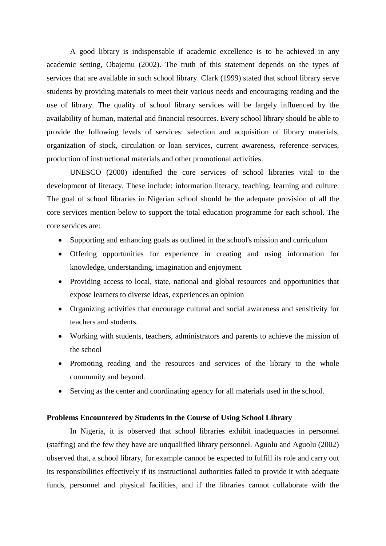A good library is indispensable if academic excellence is to be achieved in any academic setting, Obajemu (2002). The truth of this statement depends on the types of services that are available in such school library. Clark (1999) stated that school library serve students by providing materials to meet their various needs and encouraging reading and the use of library. The quality of school library services will be largely influenced by the availability of human, material and financial resources. Every school library should be able to provide the following levels of services: selection and acquisition of library materials, organization of stock, circulation or loan services, current awareness, reference services, production of instructional materials and other promotional activities.

UNESCO (2000) identified the core services of school libraries vital to the development of literacy. These include: information literacy, teaching, learning and culture. The goal of school libraries in Nigerian school should be the adequate provision of all the core services mention below to support the total education programme for each school. The core services are:

- Supporting and enhancing goals as outlined in the school's mission and curriculum
- Offering opportunities for experience in creating and using information for knowledge, understanding, imagination and enjoyment.
- Providing access to local, state, national and global resources and opportunities that expose learners to diverse ideas, experiences an opinion
- Organizing activities that encourage cultural and social awareness and sensitivity for teachers and students.
- Working with students, teachers, administrators and parents to achieve the mission of the school
- Promoting reading and the resources and services of the library to the whole community and beyond.
- Serving as the center and coordinating agency for all materials used in the school.

#### **Problems Encountered by Students in the Course of Using School Library**

In Nigeria, it is observed that school libraries exhibit inadequacies in personnel (staffing) and the few they have are unqualified library personnel. Aguolu and Aguolu (2002) observed that, a school library, for example cannot be expected to fulfill its role and carry out its responsibilities effectively if its instructional authorities failed to provide it with adequate funds, personnel and physical facilities, and if the libraries cannot collaborate with the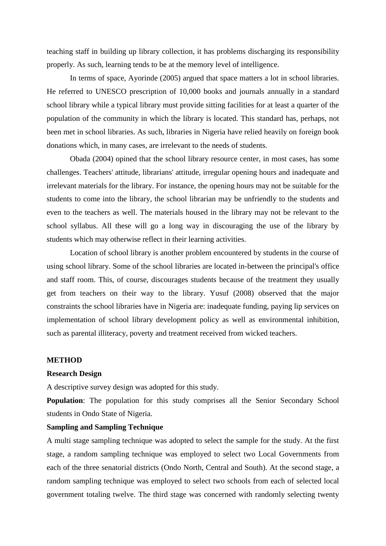teaching staff in building up library collection, it has problems discharging its responsibility properly. As such, learning tends to be at the memory level of intelligence.

In terms of space, Ayorinde (2005) argued that space matters a lot in school libraries. He referred to UNESCO prescription of 10,000 books and journals annually in a standard school library while a typical library must provide sitting facilities for at least a quarter of the population of the community in which the library is located. This standard has, perhaps, not been met in school libraries. As such, libraries in Nigeria have relied heavily on foreign book donations which, in many cases, are irrelevant to the needs of students.

Obada (2004) opined that the school library resource center, in most cases, has some challenges. Teachers' attitude, librarians' attitude, irregular opening hours and inadequate and irrelevant materials for the library. For instance, the opening hours may not be suitable for the students to come into the library, the school librarian may be unfriendly to the students and even to the teachers as well. The materials housed in the library may not be relevant to the school syllabus. All these will go a long way in discouraging the use of the library by students which may otherwise reflect in their learning activities.

Location of school library is another problem encountered by students in the course of using school library. Some of the school libraries are located in-between the principal's office and staff room. This, of course, discourages students because of the treatment they usually get from teachers on their way to the library. Yusuf (2008) observed that the major constraints the school libraries have in Nigeria are: inadequate funding, paying lip services on implementation of school library development policy as well as environmental inhibition, such as parental illiteracy, poverty and treatment received from wicked teachers.

#### **METHOD**

#### **Research Design**

A descriptive survey design was adopted for this study.

**Population**: The population for this study comprises all the Senior Secondary School students in Ondo State of Nigeria.

#### **Sampling and Sampling Technique**

A multi stage sampling technique was adopted to select the sample for the study. At the first stage, a random sampling technique was employed to select two Local Governments from each of the three senatorial districts (Ondo North, Central and South). At the second stage, a random sampling technique was employed to select two schools from each of selected local government totaling twelve. The third stage was concerned with randomly selecting twenty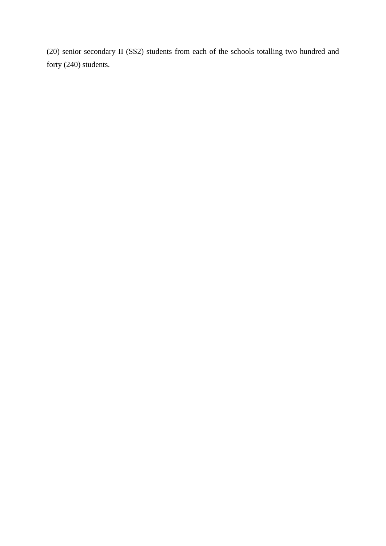(20) senior secondary II (SS2) students from each of the schools totalling two hundred and forty (240) students.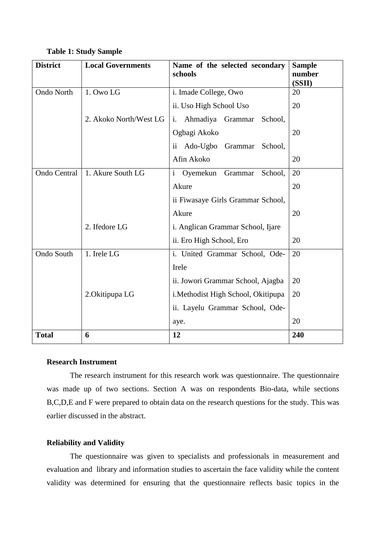#### **Table 1: Study Sample**

| <b>District</b>     | <b>Local Governments</b> | Name of the selected secondary<br>schools             | <b>Sample</b><br>number<br>(SSII) |
|---------------------|--------------------------|-------------------------------------------------------|-----------------------------------|
| Ondo North          | 1. Owo LG                | i. Imade College, Owo                                 | 20                                |
|                     |                          | ii. Uso High School Uso                               | 20                                |
|                     | 2. Akoko North/West LG   | Ahmadiya Grammar<br>i.<br>School,                     |                                   |
|                     |                          | Ogbagi Akoko                                          | 20                                |
|                     |                          | $\ddot{\mathbf{i}}$<br>Ado-Ugbo<br>Grammar<br>School, |                                   |
|                     |                          | Afin Akoko                                            | 20                                |
| <b>Ondo Central</b> | 1. Akure South LG        | Oyemekun<br>Grammar<br>School,<br>$\mathbf{i}$        | 20                                |
|                     |                          | Akure                                                 | 20                                |
|                     |                          | ii Fiwasaye Girls Grammar School,                     |                                   |
|                     |                          | Akure                                                 | 20                                |
|                     | 2. Ifedore LG            | i. Anglican Grammar School, Ijare                     |                                   |
|                     |                          | ii. Ero High School, Ero                              | 20                                |
| Ondo South          | 1. Irele LG              | i. United Grammar School, Ode-                        | 20                                |
|                     |                          | Irele                                                 |                                   |
|                     |                          | ii. Jowori Grammar School, Ajagba                     | 20                                |
|                     | 2. Okitipupa LG          | i. Methodist High School, Okitipupa                   | 20                                |
|                     |                          | ii. Layelu Grammar School, Ode-                       |                                   |
|                     |                          | aye.                                                  | 20                                |
| <b>Total</b>        | 6                        | 12                                                    | 240                               |

#### **Research Instrument**

The research instrument for this research work was questionnaire. The questionnaire was made up of two sections. Section A was on respondents Bio-data, while sections B,C,D,E and F were prepared to obtain data on the research questions for the study. This was earlier discussed in the abstract.

#### **Reliability and Validity**

The questionnaire was given to specialists and professionals in measurement and evaluation and library and information studies to ascertain the face validity while the content validity was determined for ensuring that the questionnaire reflects basic topics in the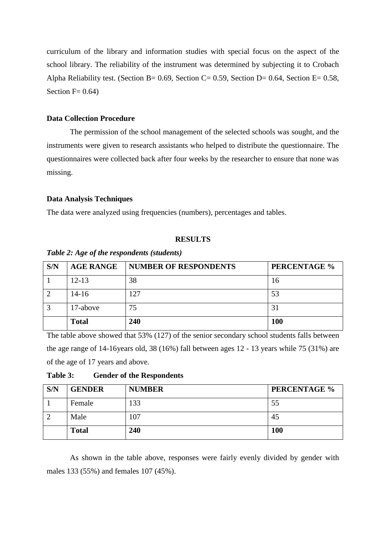curriculum of the library and information studies with special focus on the aspect of the school library. The reliability of the instrument was determined by subjecting it to Crobach Alpha Reliability test. (Section B=  $0.69$ , Section C=  $0.59$ , Section D=  $0.64$ , Section E=  $0.58$ , Section  $F= 0.64$ )

#### **Data Collection Procedure**

The permission of the school management of the selected schools was sought, and the instruments were given to research assistants who helped to distribute the questionnaire. The questionnaires were collected back after four weeks by the researcher to ensure that none was missing.

#### **Data Analysis Techniques**

The data were analyzed using frequencies (numbers), percentages and tables.

#### **RESULTS**

| S/N | <b>AGE RANGE</b> | <b>NUMBER OF RESPONDENTS</b> | PERCENTAGE % |
|-----|------------------|------------------------------|--------------|
|     | $12 - 13$        | 38                           | 16           |
|     | $14 - 16$        | 127                          | 53           |
|     | 17-above         | 75                           | 31           |
|     | <b>Total</b>     | 240                          | 100          |

*Table 2: Age of the respondents (students)* 

The table above showed that 53% (127) of the senior secondary school students falls between the age range of 14-16years old, 38 (16%) fall between ages 12 - 13 years while 75 (31%) are of the age of 17 years and above.

| S/N | <b>GENDER</b> | <b>NUMBER</b> | PERCENTAGE % |
|-----|---------------|---------------|--------------|
|     | Female        | 133           | 55           |
|     | Male          | 107           | 45           |
|     | <b>Total</b>  | 240           | 100          |

**Table 3: Gender of the Respondents** 

As shown in the table above, responses were fairly evenly divided by gender with males 133 (55%) and females 107 (45%).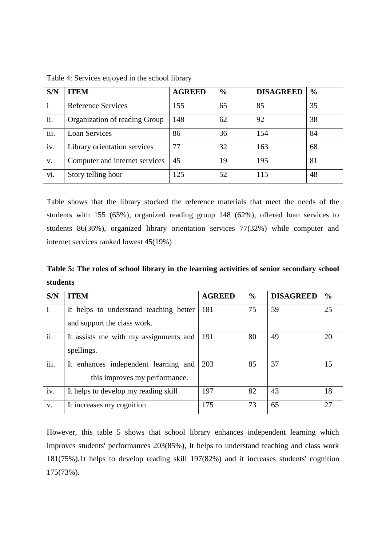| S/N  | <b>ITEM</b>                    | <b>AGREED</b> | $\frac{6}{6}$ | <b>DISAGREED</b> | $\frac{0}{0}$ |
|------|--------------------------------|---------------|---------------|------------------|---------------|
|      | <b>Reference Services</b>      | 155           | 65            | 85               | 35            |
| ii.  | Organization of reading Group  | 148           | 62            | 92               | 38            |
| iii. | <b>Loan Services</b>           | 86            | 36            | 154              | 84            |
| iv.  | Library orientation services   | 77            | 32            | 163              | 68            |
| V.   | Computer and internet services | 45            | 19            | 195              | 81            |
| vi.  | Story telling hour             | 125           | 52            | 115              | 48            |

Table 4: Services enjoyed in the school library

Table shows that the library stocked the reference materials that meet the needs of the students with 155 (65%), organized reading group 148 (62%), offered loan services to students 86(36%), organized library orientation services 77(32%) while computer and internet services ranked lowest 45(19%)

**Table 5: The roles of school library in the learning activities of senior secondary school students** 

| S/N  | <b>ITEM</b>                            | <b>AGREED</b> | $\frac{0}{0}$ | <b>DISAGREED</b> | $\frac{0}{0}$ |
|------|----------------------------------------|---------------|---------------|------------------|---------------|
|      | It helps to understand teaching better | 181           | 75            | 59               | 25            |
|      | and support the class work.            |               |               |                  |               |
| ii.  | It assists me with my assignments and  | 191           | 80            | 49               | 20            |
|      | spellings.                             |               |               |                  |               |
| iii. | It enhances independent learning and   | 203           | 85            | 37               | 15            |
|      | this improves my performance.          |               |               |                  |               |
| iv.  | It helps to develop my reading skill   | 197           | 82            | 43               | 18            |
| V.   | It increases my cognition              | 175           | 73            | 65               | 27            |

However, this table 5 shows that school library enhances independent learning which improves students' performances 203(85%), It helps to understand teaching and class work 181(75%).1t helps to develop reading skill 197(82%) and it increases students' cognition 175(73%).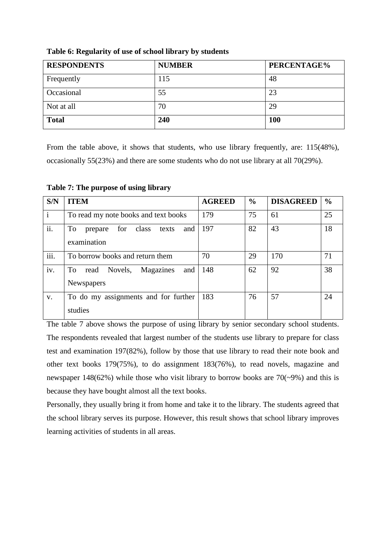| <b>RESPONDENTS</b> | <b>NUMBER</b> | PERCENTAGE% |
|--------------------|---------------|-------------|
| Frequently         | 115           | 48          |
| Occasional         | 55            | 23          |
| Not at all         | 70            | 29          |
| <b>Total</b>       | 240           | <b>100</b>  |

**Table 6: Regularity of use of school library by students** 

From the table above, it shows that students, who use library frequently, are: 115(48%), occasionally 55(23%) and there are some students who do not use library at all 70(29%).

| S/N          | <b>ITEM</b>                                               | <b>AGREED</b> | $\%$ | <b>DISAGREED</b> | $\frac{6}{6}$ |
|--------------|-----------------------------------------------------------|---------------|------|------------------|---------------|
| $\mathbf{i}$ | To read my note books and text books                      | 179           | 75   | 61               | 25            |
| ii.          | To<br>for class<br>texts<br>and<br>prepare<br>examination | 197           | 82   | 43               | 18            |
| iii.         | To borrow books and return them                           | 70            | 29   | 170              | 71            |
| iv.          | read Novels,<br>Magazines<br>and<br>To -<br>Newspapers    | 148           | 62   | 92               | 38            |
| V.           | To do my assignments and for further<br>studies           | 183           | 76   | 57               | 24            |

**Table 7: The purpose of using library** 

The table 7 above shows the purpose of using library by senior secondary school students. The respondents revealed that largest number of the students use library to prepare for class test and examination 197(82%), follow by those that use library to read their note book and other text books 179(75%), to do assignment 183(76%), to read novels, magazine and newspaper 148(62%) while those who visit library to borrow books are  $70(-9%)$  and this is because they have bought almost all the text books.

Personally, they usually bring it from home and take it to the library. The students agreed that the school library serves its purpose. However, this result shows that school library improves learning activities of students in all areas.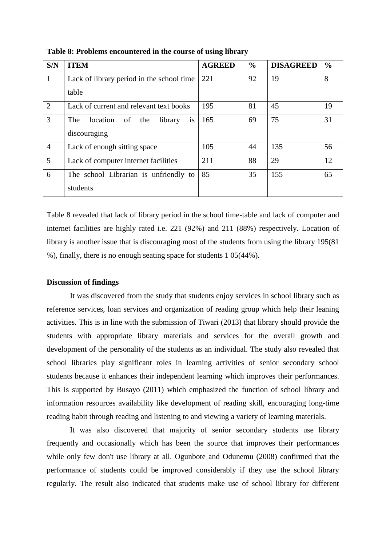| S/N            | <b>ITEM</b>                                                | <b>AGREED</b> | $\frac{0}{0}$ | <b>DISAGREED</b> | $\frac{0}{0}$ |
|----------------|------------------------------------------------------------|---------------|---------------|------------------|---------------|
| $\mathbf{1}$   | Lack of library period in the school time                  | 221           | 92            | 19               | 8             |
|                | table                                                      |               |               |                  |               |
| $\overline{2}$ | Lack of current and relevant text books                    | 195           | 81            | 45               | 19            |
| 3              | location<br>The<br>of<br>the<br>library<br>$\overline{1}S$ | 165           | 69            | 75               | 31            |
|                | discouraging                                               |               |               |                  |               |
| $\overline{4}$ | Lack of enough sitting space                               | 105           | 44            | 135              | 56            |
| 5              | Lack of computer internet facilities                       | 211           | 88            | 29               | 12            |
| 6              | The school Librarian is unfriendly to                      | 85            | 35            | 155              | 65            |
|                | students                                                   |               |               |                  |               |

**Table 8: Problems encountered in the course of using library**

Table 8 revealed that lack of library period in the school time-table and lack of computer and internet facilities are highly rated i.e. 221 (92%) and 211 (88%) respectively. Location of library is another issue that is discouraging most of the students from using the library 195(81 %), finally, there is no enough seating space for students 1 05(44%).

#### **Discussion of findings**

It was discovered from the study that students enjoy services in school library such as reference services, loan services and organization of reading group which help their leaning activities. This is in line with the submission of Tiwari (2013) that library should provide the students with appropriate library materials and services for the overall growth and development of the personality of the students as an individual. The study also revealed that school libraries play significant roles in learning activities of senior secondary school students because it enhances their independent learning which improves their performances. This is supported by Busayo (2011) which emphasized the function of school library and information resources availability like development of reading skill, encouraging long-time reading habit through reading and listening to and viewing a variety of learning materials.

It was also discovered that majority of senior secondary students use library frequently and occasionally which has been the source that improves their performances while only few don't use library at all. Ogunbote and Odunemu (2008) confirmed that the performance of students could be improved considerably if they use the school library regularly. The result also indicated that students make use of school library for different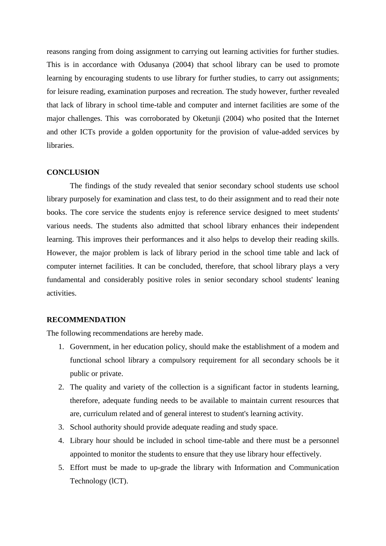reasons ranging from doing assignment to carrying out learning activities for further studies. This is in accordance with Odusanya (2004) that school library can be used to promote learning by encouraging students to use library for further studies, to carry out assignments; for leisure reading, examination purposes and recreation. The study however, further revealed that lack of library in school time-table and computer and internet facilities are some of the major challenges. This was corroborated by Oketunji (2004) who posited that the Internet and other ICTs provide a golden opportunity for the provision of value-added services by libraries.

#### **CONCLUSION**

The findings of the study revealed that senior secondary school students use school library purposely for examination and class test, to do their assignment and to read their note books. The core service the students enjoy is reference service designed to meet students' various needs. The students also admitted that school library enhances their independent learning. This improves their performances and it also helps to develop their reading skills. However, the major problem is lack of library period in the school time table and lack of computer internet facilities. It can be concluded, therefore, that school library plays a very fundamental and considerably positive roles in senior secondary school students' leaning activities.

#### **RECOMMENDATION**

The following recommendations are hereby made.

- 1. Government, in her education policy, should make the establishment of a modem and functional school library a compulsory requirement for all secondary schools be it public or private.
- 2. The quality and variety of the collection is a significant factor in students learning, therefore, adequate funding needs to be available to maintain current resources that are, curriculum related and of general interest to student's learning activity.
- 3. School authority should provide adequate reading and study space.
- 4. Library hour should be included in school time-table and there must be a personnel appointed to monitor the students to ensure that they use library hour effectively.
- 5. Effort must be made to up-grade the library with Information and Communication Technology (lCT).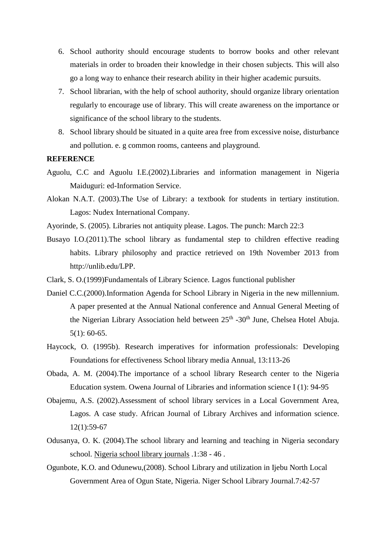- 6. School authority should encourage students to borrow books and other relevant materials in order to broaden their knowledge in their chosen subjects. This will also go a long way to enhance their research ability in their higher academic pursuits.
- 7. School librarian, with the help of school authority, should organize library orientation regularly to encourage use of library. This will create awareness on the importance or significance of the school library to the students.
- 8. School library should be situated in a quite area free from excessive noise, disturbance and pollution. e. g common rooms, canteens and playground.

#### **REFERENCE**

- Aguolu, C.C and Aguolu I.E.(2002).Libraries and information management in Nigeria Maiduguri: ed-Information Service.
- Alokan N.A.T. (2003).The Use of Library: a textbook for students in tertiary institution. Lagos: Nudex International Company.
- Ayorinde, S. (2005). Libraries not antiquity please. Lagos. The punch: March 22:3
- Busayo I.O.(2011).The school library as fundamental step to children effective reading habits. Library philosophy and practice retrieved on 19th November 2013 from http://unlib.edu/LPP.
- Clark, S. O.(1999)Fundamentals of Library Science. Lagos functional publisher
- Daniel C.C.(2000).Information Agenda for School Library in Nigeria in the new millennium. A paper presented at the Annual National conference and Annual General Meeting of the Nigerian Library Association held between  $25<sup>th</sup>$  -30<sup>th</sup> June, Chelsea Hotel Abuja. 5(1): 60-65.
- Haycock, O. (1995b). Research imperatives for information professionals: Developing Foundations for effectiveness School library media Annual, 13:113-26
- Obada, A. M. (2004).The importance of a school library Research center to the Nigeria Education system. Owena Journal of Libraries and information science I (1): 94-95
- Obajemu, A.S. (2002).Assessment of school library services in a Local Government Area, Lagos. A case study. African Journal of Library Archives and information science. 12(1):59-67
- Odusanya, O. K. (2004).The school library and learning and teaching in Nigeria secondary school. Nigeria school library journals .1:38 - 46 .
- Ogunbote, K.O. and Odunewu,(2008). School Library and utilization in Ijebu North Local Government Area of Ogun State, Nigeria. Niger School Library Journal.7:42-57